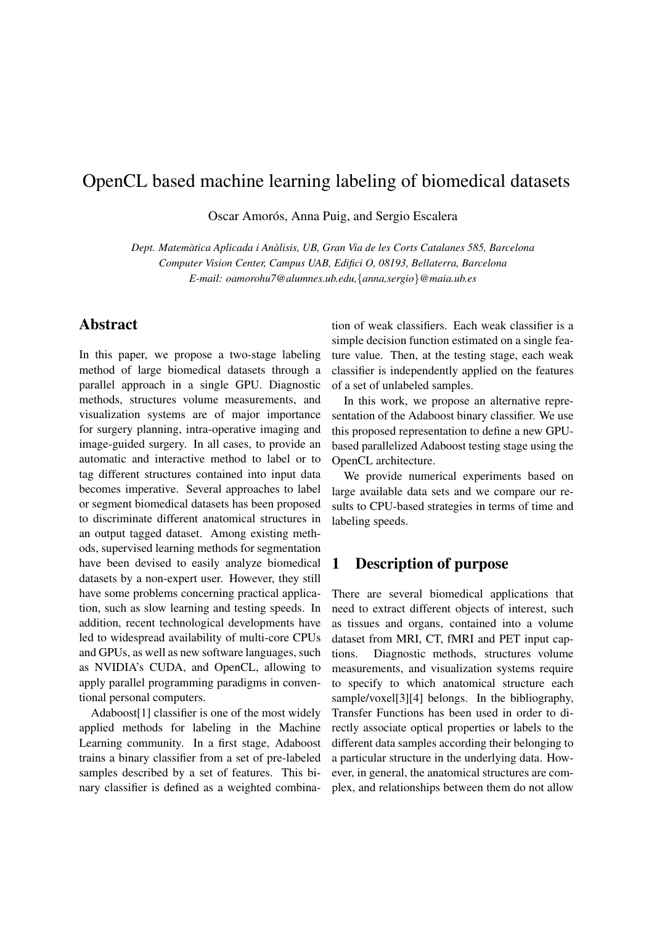# OpenCL based machine learning labeling of biomedical datasets

Oscar Amorós, Anna Puig, and Sergio Escalera

*Dept. Matematica Aplicada i An ` alisis, UB, Gran Via de les Corts Catalanes 585, Barcelona ` Computer Vision Center, Campus UAB, Edifici O, 08193, Bellaterra, Barcelona E-mail: oamorohu7@alumnes.ub.edu,*{*anna,sergio*}*@maia.ub.es*

### Abstract

In this paper, we propose a two-stage labeling method of large biomedical datasets through a parallel approach in a single GPU. Diagnostic methods, structures volume measurements, and visualization systems are of major importance for surgery planning, intra-operative imaging and image-guided surgery. In all cases, to provide an automatic and interactive method to label or to tag different structures contained into input data becomes imperative. Several approaches to label or segment biomedical datasets has been proposed to discriminate different anatomical structures in an output tagged dataset. Among existing methods, supervised learning methods for segmentation have been devised to easily analyze biomedical datasets by a non-expert user. However, they still have some problems concerning practical application, such as slow learning and testing speeds. In addition, recent technological developments have led to widespread availability of multi-core CPUs and GPUs, as well as new software languages, such as NVIDIA's CUDA, and OpenCL, allowing to apply parallel programming paradigms in conventional personal computers.

Adaboost[1] classifier is one of the most widely applied methods for labeling in the Machine Learning community. In a first stage, Adaboost trains a binary classifier from a set of pre-labeled samples described by a set of features. This binary classifier is defined as a weighted combination of weak classifiers. Each weak classifier is a simple decision function estimated on a single feature value. Then, at the testing stage, each weak classifier is independently applied on the features of a set of unlabeled samples.

In this work, we propose an alternative representation of the Adaboost binary classifier. We use this proposed representation to define a new GPUbased parallelized Adaboost testing stage using the OpenCL architecture.

We provide numerical experiments based on large available data sets and we compare our results to CPU-based strategies in terms of time and labeling speeds.

### 1 Description of purpose

There are several biomedical applications that need to extract different objects of interest, such as tissues and organs, contained into a volume dataset from MRI, CT, fMRI and PET input captions. Diagnostic methods, structures volume measurements, and visualization systems require to specify to which anatomical structure each sample/voxel[3][4] belongs. In the bibliography, Transfer Functions has been used in order to directly associate optical properties or labels to the different data samples according their belonging to a particular structure in the underlying data. However, in general, the anatomical structures are complex, and relationships between them do not allow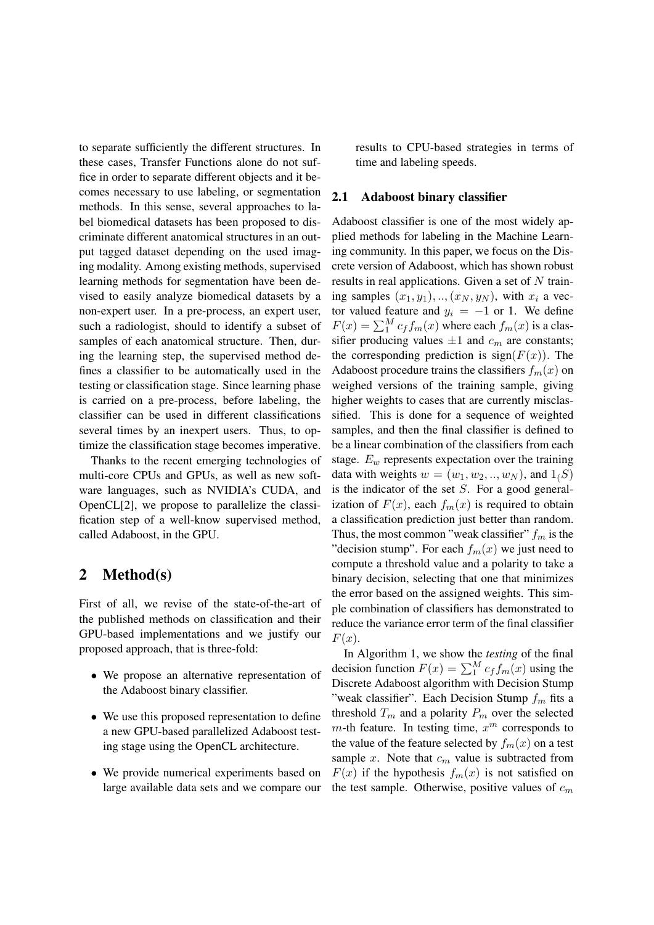to separate sufficiently the different structures. In these cases, Transfer Functions alone do not suffice in order to separate different objects and it becomes necessary to use labeling, or segmentation methods. In this sense, several approaches to label biomedical datasets has been proposed to discriminate different anatomical structures in an output tagged dataset depending on the used imaging modality. Among existing methods, supervised learning methods for segmentation have been devised to easily analyze biomedical datasets by a non-expert user. In a pre-process, an expert user, such a radiologist, should to identify a subset of samples of each anatomical structure. Then, during the learning step, the supervised method defines a classifier to be automatically used in the testing or classification stage. Since learning phase is carried on a pre-process, before labeling, the classifier can be used in different classifications several times by an inexpert users. Thus, to optimize the classification stage becomes imperative.

Thanks to the recent emerging technologies of multi-core CPUs and GPUs, as well as new software languages, such as NVIDIA's CUDA, and OpenCL[2], we propose to parallelize the classification step of a well-know supervised method, called Adaboost, in the GPU.

### 2 Method(s)

First of all, we revise of the state-of-the-art of the published methods on classification and their GPU-based implementations and we justify our proposed approach, that is three-fold:

- We propose an alternative representation of the Adaboost binary classifier.
- We use this proposed representation to define a new GPU-based parallelized Adaboost testing stage using the OpenCL architecture.
- We provide numerical experiments based on large available data sets and we compare our

results to CPU-based strategies in terms of time and labeling speeds.

#### 2.1 Adaboost binary classifier

Adaboost classifier is one of the most widely applied methods for labeling in the Machine Learning community. In this paper, we focus on the Discrete version of Adaboost, which has shown robust results in real applications. Given a set of  $N$  training samples  $(x_1, y_1), \ldots, (x_N, y_N)$ , with  $x_i$  a vector valued feature and  $y_i = -1$  or 1. We define  $F(x) = \sum_{1}^{M} c_f f_m(x)$  where each  $f_m(x)$  is a classifier producing values  $\pm 1$  and  $c_m$  are constants; the corresponding prediction is  $sign(F(x))$ . The Adaboost procedure trains the classifiers  $f_m(x)$  on weighed versions of the training sample, giving higher weights to cases that are currently misclassified. This is done for a sequence of weighted samples, and then the final classifier is defined to be a linear combination of the classifiers from each stage.  $E_w$  represents expectation over the training data with weights  $w = (w_1, w_2, ..., w_N)$ , and  $1(S)$ is the indicator of the set  $S$ . For a good generalization of  $F(x)$ , each  $f_m(x)$  is required to obtain a classification prediction just better than random. Thus, the most common "weak classifier"  $f_m$  is the "decision stump". For each  $f_m(x)$  we just need to compute a threshold value and a polarity to take a binary decision, selecting that one that minimizes the error based on the assigned weights. This simple combination of classifiers has demonstrated to reduce the variance error term of the final classifier  $F(x)$ .

In Algorithm 1, we show the *testing* of the final decision function  $F(x) = \sum_{1}^{M} c_f f_m(x)$  using the Discrete Adaboost algorithm with Decision Stump "weak classifier". Each Decision Stump  $f_m$  fits a threshold  $T_m$  and a polarity  $P_m$  over the selected  $m$ -th feature. In testing time,  $x^m$  corresponds to the value of the feature selected by  $f_m(x)$  on a test sample x. Note that  $c_m$  value is subtracted from  $F(x)$  if the hypothesis  $f_m(x)$  is not satisfied on the test sample. Otherwise, positive values of  $c_m$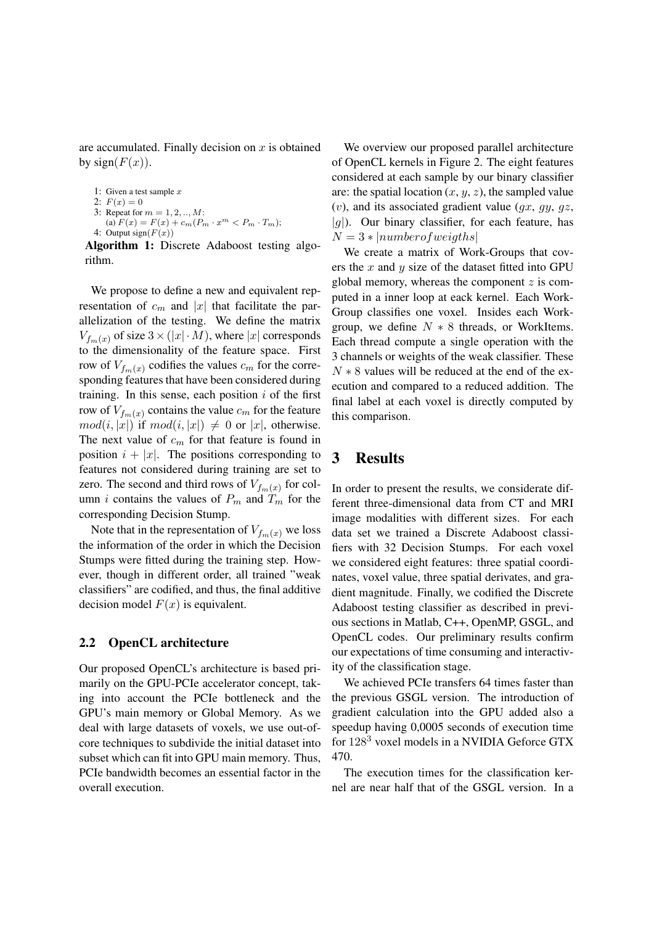are accumulated. Finally decision on  $x$  is obtained by sign $(F(x))$ .

```
1: Given a test sample x
```

```
2: F(x) = 0
```
- 3: Repeat for  $m = 1, 2, ..., M$ : (a)  $F(x) = F(x) + c_m(P_m \cdot x^m < P_m \cdot T_m);$
- 4: Output sign( $F(x)$ )

Algorithm 1: Discrete Adaboost testing algorithm.

We propose to define a new and equivalent representation of  $c_m$  and |x| that facilitate the parallelization of the testing. We define the matrix  $V_{f_m(x)}$  of size  $3 \times (|x| \cdot M)$ , where  $|x|$  corresponds to the dimensionality of the feature space. First row of  $V_{f_m(x)}$  codifies the values  $c_m$  for the corresponding features that have been considered during training. In this sense, each position  $i$  of the first row of  $V_{f_m(x)}$  contains the value  $c_m$  for the feature  $mod(i, |x|)$  if  $mod(i, |x|) \neq 0$  or  $|x|$ , otherwise. The next value of  $c_m$  for that feature is found in position  $i + |x|$ . The positions corresponding to features not considered during training are set to zero. The second and third rows of  $V_{f_m}(x)$  for column *i* contains the values of  $P_m$  and  $T_m$  for the corresponding Decision Stump.

Note that in the representation of  $V_{f_m(x)}$  we loss the information of the order in which the Decision Stumps were fitted during the training step. However, though in different order, all trained "weak classifiers" are codified, and thus, the final additive decision model  $F(x)$  is equivalent.

# 2.2 OpenCL architecture

Our proposed OpenCL's architecture is based primarily on the GPU-PCIe accelerator concept, taking into account the PCIe bottleneck and the GPU's main memory or Global Memory. As we deal with large datasets of voxels, we use out-ofcore techniques to subdivide the initial dataset into subset which can fit into GPU main memory. Thus, PCIe bandwidth becomes an essential factor in the overall execution.

We overview our proposed parallel architecture of OpenCL kernels in Figure 2. The eight features considered at each sample by our binary classifier are: the spatial location  $(x, y, z)$ , the sampled value  $(v)$ , and its associated gradient value  $(gx, gy, gz,$  $|g|$ ). Our binary classifier, for each feature, has  $N = 3 * |number of weights|$ 

We create a matrix of Work-Groups that covers the  $x$  and  $y$  size of the dataset fitted into GPU global memory, whereas the component  $z$  is computed in a inner loop at eack kernel. Each Work-Group classifies one voxel. Insides each Workgroup, we define  $N \times 8$  threads, or WorkItems. Each thread compute a single operation with the 3 channels or weights of the weak classifier. These  $N * 8$  values will be reduced at the end of the execution and compared to a reduced addition. The final label at each voxel is directly computed by this comparison.

### 3 Results

In order to present the results, we considerate different three-dimensional data from CT and MRI image modalities with different sizes. For each data set we trained a Discrete Adaboost classifiers with 32 Decision Stumps. For each voxel we considered eight features: three spatial coordinates, voxel value, three spatial derivates, and gradient magnitude. Finally, we codified the Discrete Adaboost testing classifier as described in previous sections in Matlab, C++, OpenMP, GSGL, and OpenCL codes. Our preliminary results confirm our expectations of time consuming and interactivity of the classification stage.

We achieved PCIe transfers 64 times faster than the previous GSGL version. The introduction of gradient calculation into the GPU added also a speedup having 0,0005 seconds of execution time for 128<sup>3</sup> voxel models in a NVIDIA Geforce GTX 470.

The execution times for the classification kernel are near half that of the GSGL version. In a